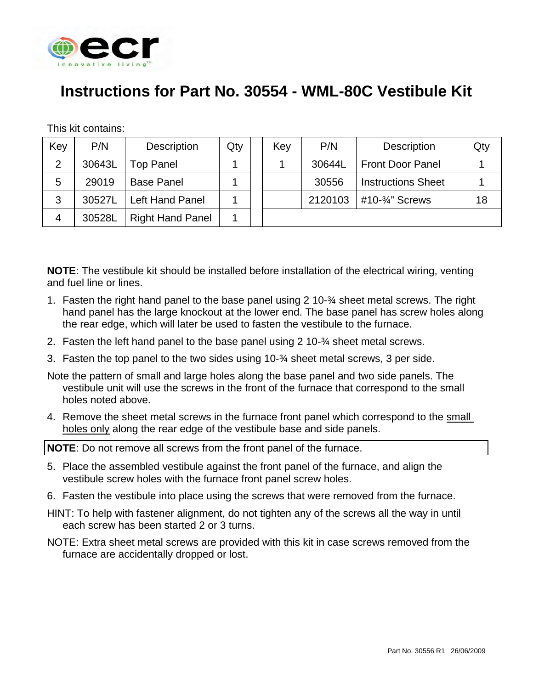

## **Instructions for Part No. 30554 - WML-80C Vestibule Kit**

This kit contains:

| Key            | P/N    | <b>Description</b>      | Qty | Key | P/N     | Description                 | Qty |
|----------------|--------|-------------------------|-----|-----|---------|-----------------------------|-----|
| 2              | 30643L | <b>Top Panel</b>        |     |     | 30644L  | <b>Front Door Panel</b>     |     |
| 5              | 29019  | <b>Base Panel</b>       |     |     | 30556   | <b>Instructions Sheet</b>   |     |
| 3              | 30527L | <b>Left Hand Panel</b>  |     |     | 2120103 | #10- $\frac{3}{4}$ " Screws | 18  |
| $\overline{4}$ | 30528L | <b>Right Hand Panel</b> |     |     |         |                             |     |

**NOTE**: The vestibule kit should be installed before installation of the electrical wiring, venting and fuel line or lines.

- 1. Fasten the right hand panel to the base panel using 2 10-¾ sheet metal screws. The right hand panel has the large knockout at the lower end. The base panel has screw holes along the rear edge, which will later be used to fasten the vestibule to the furnace.
- 2. Fasten the left hand panel to the base panel using 2 10-¾ sheet metal screws.
- 3. Fasten the top panel to the two sides using 10-¾ sheet metal screws, 3 per side.

Note the pattern of small and large holes along the base panel and two side panels. The vestibule unit will use the screws in the front of the furnace that correspond to the small holes noted above.

4. Remove the sheet metal screws in the furnace front panel which correspond to the small holes only along the rear edge of the vestibule base and side panels.

**NOTE**: Do not remove all screws from the front panel of the furnace.

- 5. Place the assembled vestibule against the front panel of the furnace, and align the vestibule screw holes with the furnace front panel screw holes.
- 6. Fasten the vestibule into place using the screws that were removed from the furnace.
- HINT: To help with fastener alignment, do not tighten any of the screws all the way in until each screw has been started 2 or 3 turns.
- NOTE: Extra sheet metal screws are provided with this kit in case screws removed from the furnace are accidentally dropped or lost.